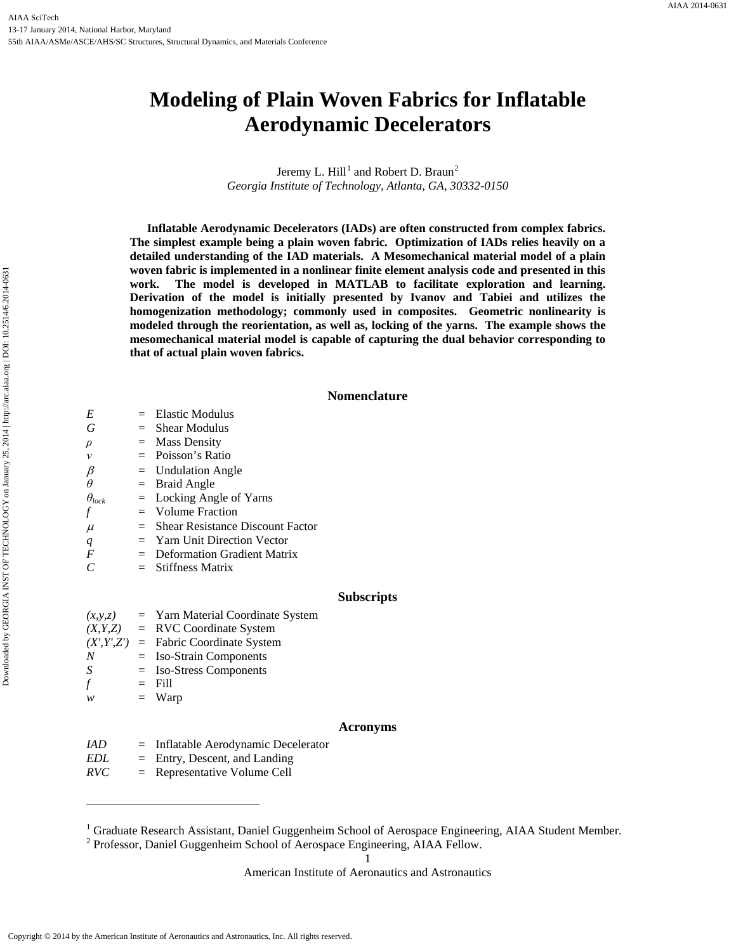# **Modeling of Plain Woven Fabrics for Inflatable Aerodynamic Decelerators**

Jeremy L.  $Hill<sup>1</sup>$  $Hill<sup>1</sup>$  $Hill<sup>1</sup>$  and Robert D. Braun<sup>[2](#page-0-1)</sup> *Georgia Institute of Technology, Atlanta, GA, 30332-0150*

**Inflatable Aerodynamic Decelerators (IADs) are often constructed from complex fabrics. The simplest example being a plain woven fabric. Optimization of IADs relies heavily on a detailed understanding of the IAD materials. A Mesomechanical material model of a plain woven fabric is implemented in a nonlinear finite element analysis code and presented in this work. The model is developed in MATLAB to facilitate exploration and learning. Derivation of the model is initially presented by Ivanov and Tabiei and utilizes the homogenization methodology; commonly used in composites. Geometric nonlinearity is modeled through the reorientation, as well as, locking of the yarns. The example shows the mesomechanical material model is capable of capturing the dual behavior corresponding to that of actual plain woven fabrics.**

## **Nomenclature**

| E                | $=$ Elastic Modulus                           |                   |
|------------------|-----------------------------------------------|-------------------|
| G                | $=$ Shear Modulus                             |                   |
| $\rho$           | $=$ Mass Density                              |                   |
| $\mathcal V$     | $=$ Poisson's Ratio                           |                   |
| $\beta$          | $=$ Undulation Angle                          |                   |
| $\theta$         | $=$ Braid Angle                               |                   |
| $\theta_{lock}$  | $=$ Locking Angle of Yarns                    |                   |
| $\boldsymbol{f}$ | $=$ Volume Fraction                           |                   |
| $\mu$            | $=$ Shear Resistance Discount Factor          |                   |
| q                | $=$ Yarn Unit Direction Vector                |                   |
| $\boldsymbol{F}$ | $=$ Deformation Gradient Matrix               |                   |
| $\mathcal{C}$    | $=$ Stiffness Matrix                          |                   |
|                  |                                               | <b>Subscripts</b> |
|                  | $(x, y, z)$ = Yarn Material Coordinate System |                   |
|                  | $(X, Y, Z)$ = RVC Coordinate System           |                   |
|                  | $(X', Y', Z')$ = Fabric Coordinate System     |                   |
|                  |                                               |                   |

*N* = Iso-Strain Components

*S* = Iso-Stress Components

 $f = \text{Fill}$ 

 $\overline{a}$ 

 $w = Warp$ 

## **Acronyms**

*IAD* = Inflatable Aerodynamic Decelerator *EDL* = Entry, Descent, and Landing

*RVC* = Representative Volume Cell

1

<span id="page-0-0"></span><sup>&</sup>lt;sup>1</sup> Graduate Research Assistant, Daniel Guggenheim School of Aerospace Engineering, AIAA Student Member.

<span id="page-0-1"></span><sup>2</sup> Professor, Daniel Guggenheim School of Aerospace Engineering, AIAA Fellow.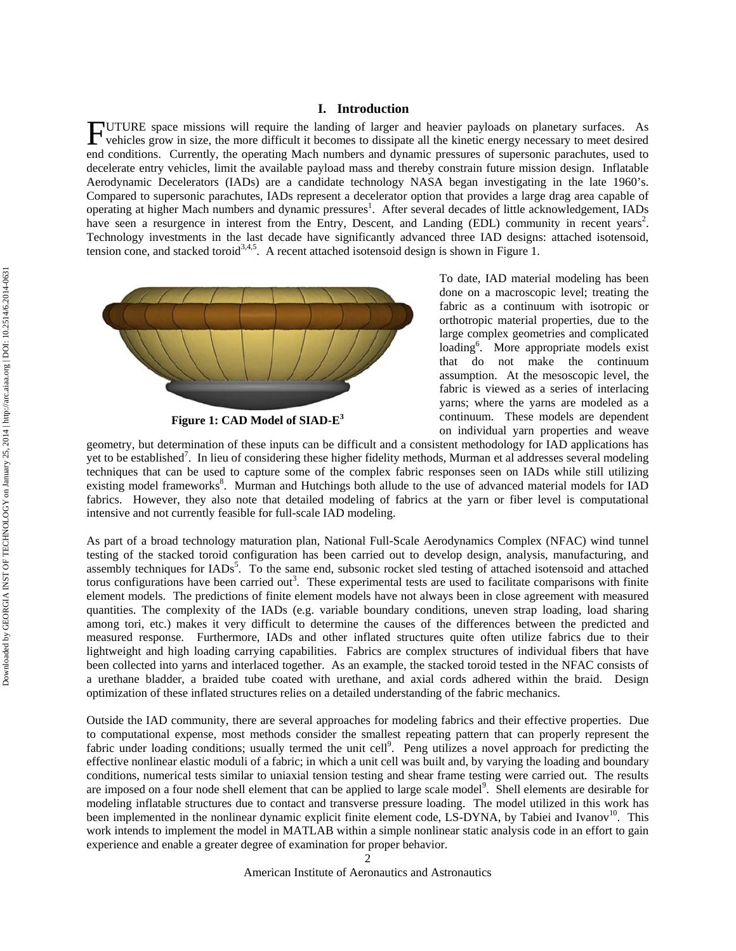UTURE space missions will require the landing of larger and heavier payloads on planetary surfaces. As vehicles grow in size, the more difficult it becomes to dissipate all the kinetic energy necessary to meet desired end conditions. Currently, the operating Mach numbers and dynamic pressures of supersonic parachutes, used to decelerate entry vehicles, limit the available payload mass and thereby constrain future mission design. Inflatable Aerodynamic Decelerators (IADs) are a candidate technology NASA began investigating in the late 1960's. Compared to supersonic parachutes, IADs represent a decelerator option that provides a large drag area capable of operating at higher Mach numbers and dynamic pressures<sup>1</sup>. After several decades of little acknowledgement, IADs have seen a resurgence in interest from the Entry, Descent, and Landing (EDL) community in recent years<sup>2</sup>. Technology investments in the last decade have significantly advanced three IAD designs: attached isotensoid, tension cone, and stacked toroid<sup>3,4,5</sup>. A recent attached isotensoid design is shown in Figure 1. F



**Figure 1: CAD Model of SIAD-E3**

To date, IAD material modeling has been done on a macroscopic level; treating the fabric as a continuum with isotropic or orthotropic material properties, due to the large complex geometries and complicated loading<sup>6</sup>. More appropriate models exist that do not make the continuum assumption. At the mesoscopic level, the fabric is viewed as a series of interlacing yarns; where the yarns are modeled as a continuum. These models are dependent on individual yarn properties and weave

geometry, but determination of these inputs can be difficult and a consistent methodology for IAD applications has yet to be established<sup>7</sup>. In lieu of considering these higher fidelity methods, Murman et al addresses several modeling techniques that can be used to capture some of the complex fabric responses seen on IADs while still utilizing existing model frameworks<sup>8</sup>. Murman and Hutchings both allude to the use of advanced material models for IAD fabrics. However, they also note that detailed modeling of fabrics at the yarn or fiber level is computational intensive and not currently feasible for full-scale IAD modeling.

As part of a broad technology maturation plan, National Full-Scale Aerodynamics Complex (NFAC) wind tunnel testing of the stacked toroid configuration has been carried out to develop design, analysis, manufacturing, and assembly techniques for IADs<sup>5</sup>. To the same end, subsonic rocket sled testing of attached isotensoid and attached torus configurations have been carried out<sup>3</sup>. These experimental tests are used to facilitate comparisons with finite element models. The predictions of finite element models have not always been in close agreement with measured quantities. The complexity of the IADs (e.g. variable boundary conditions, uneven strap loading, load sharing among tori, etc.) makes it very difficult to determine the causes of the differences between the predicted and measured response. Furthermore, IADs and other inflated structures quite often utilize fabrics due to their lightweight and high loading carrying capabilities. Fabrics are complex structures of individual fibers that have been collected into yarns and interlaced together. As an example, the stacked toroid tested in the NFAC consists of a urethane bladder, a braided tube coated with urethane, and axial cords adhered within the braid. Design optimization of these inflated structures relies on a detailed understanding of the fabric mechanics.

Outside the IAD community, there are several approaches for modeling fabrics and their effective properties. Due to computational expense, most methods consider the smallest repeating pattern that can properly represent the fabric under loading conditions; usually termed the unit cell<sup>9</sup>. Peng utilizes a novel approach for predicting the effective nonlinear elastic moduli of a fabric; in which a unit cell was built and, by varying the loading and boundary conditions, numerical tests similar to uniaxial tension testing and shear frame testing were carried out. The results are imposed on a four node shell element that can be applied to large scale model<sup>9</sup>. Shell elements are desirable for modeling inflatable structures due to contact and transverse pressure loading. The model utilized in this work has been implemented in the nonlinear dynamic explicit finite element code, LS-DYNA, by Tabiei and Ivanov<sup>10</sup>. This work intends to implement the model in MATLAB within a simple nonlinear static analysis code in an effort to gain experience and enable a greater degree of examination for proper behavior.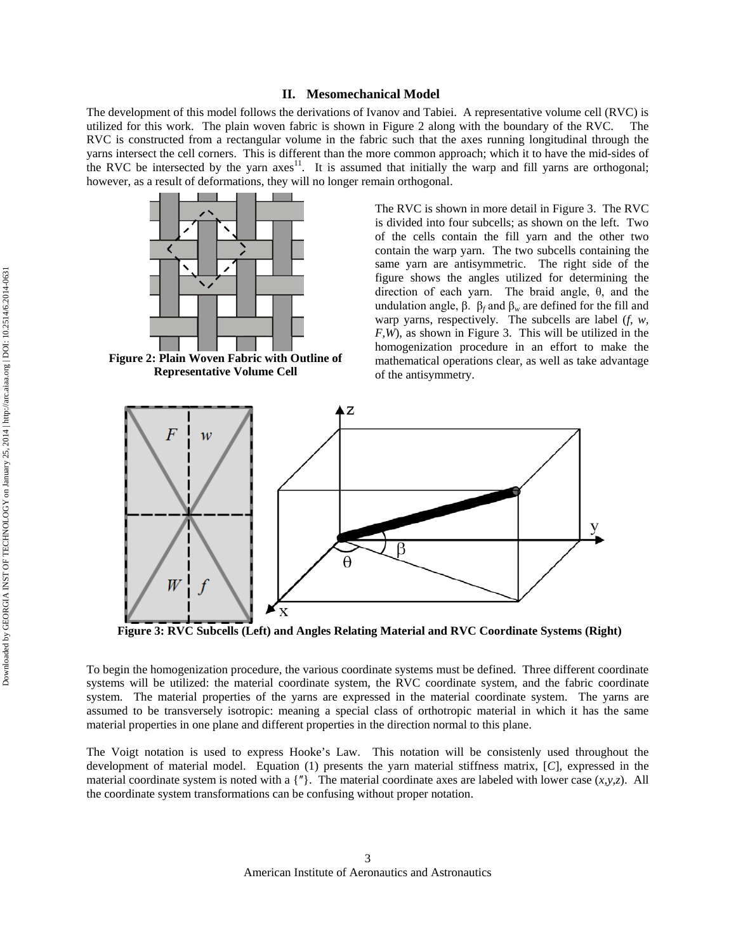The development of this model follows the derivations of Ivanov and Tabiei. A representative volume cell (RVC) is utilized for this work. The plain woven fabric is shown in Figure 2 along with the boundary of the RVC. The RVC is constructed from a rectangular volume in the fabric such that the axes running longitudinal through the yarns intersect the cell corners. This is different than the more common approach; which it to have the mid-sides of the RVC be intersected by the yarn  $a$ xes<sup>11</sup>. It is assumed that initially the warp and fill yarns are orthogonal; however, as a result of deformations, they will no longer remain orthogonal.



**Figure 2: Plain Woven Fabric with Outline of Representative Volume Cell**

The RVC is shown in more detail in Figure 3. The RVC is divided into four subcells; as shown on the left. Two of the cells contain the fill yarn and the other two contain the warp yarn. The two subcells containing the same yarn are antisymmetric. The right side of the figure shows the angles utilized for determining the direction of each yarn. The braid angle, θ, and the undulation angle, β.  $β_f$  and  $β_w$  are defined for the fill and warp yarns, respectively. The subcells are label (*f, w, F,W*), as shown in Figure 3. This will be utilized in the homogenization procedure in an effort to make the mathematical operations clear, as well as take advantage of the antisymmetry.



**Figure 3: RVC Subcells (Left) and Angles Relating Material and RVC Coordinate Systems (Right)**

To begin the homogenization procedure, the various coordinate systems must be defined. Three different coordinate systems will be utilized: the material coordinate system, the RVC coordinate system, and the fabric coordinate system. The material properties of the yarns are expressed in the material coordinate system. The yarns are assumed to be transversely isotropic: meaning a special class of orthotropic material in which it has the same material properties in one plane and different properties in the direction normal to this plane.

The Voigt notation is used to express Hooke's Law. This notation will be consistenly used throughout the development of material model. Equation (1) presents the yarn material stiffness matrix, [*C*], expressed in the material coordinate system is noted with a  $\{^n\}$ . The material coordinate axes are labeled with lower case  $(x, y, z)$ . All the coordinate system transformations can be confusing without proper notation.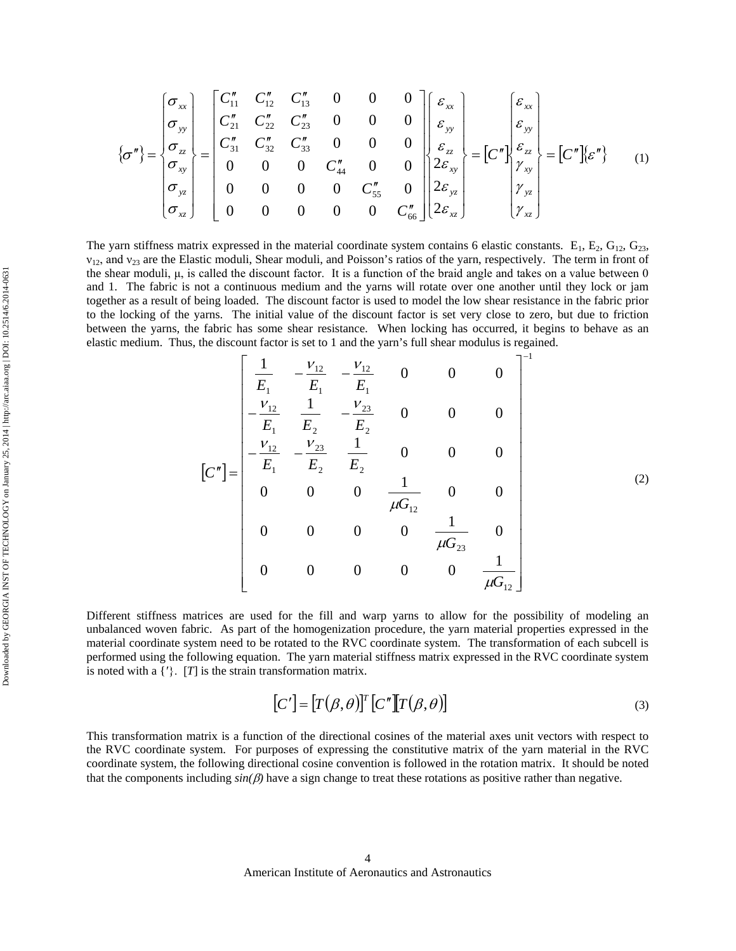$$
\{\sigma''\} = \begin{bmatrix} \sigma_{xx} \\ \sigma_{yy} \\ \sigma_{zz} \\ \sigma_{yz} \\ \sigma_{xz} \end{bmatrix} = \begin{bmatrix} C''_{11} & C''_{12} & C''_{13} & 0 & 0 & 0 \\ C''_{21} & C''_{22} & C''_{23} & 0 & 0 & 0 \\ C''_{31} & C''_{32} & C''_{33} & 0 & 0 & 0 \\ 0 & 0 & 0 & C''_{44} & 0 & 0 \\ 0 & 0 & 0 & 0 & C''_{55} & 0 \\ 0 & 0 & 0 & 0 & 0 & C''_{66} \end{bmatrix} \begin{bmatrix} \varepsilon_{xx} \\ \varepsilon_{yy} \\ \varepsilon_{zz} \\ 2\varepsilon_{xy} \\ 2\varepsilon_{yz} \\ 2\varepsilon_{yz} \\ 2\varepsilon_{xz} \end{bmatrix} = [C''] \begin{bmatrix} \varepsilon_{xx} \\ \varepsilon_{zy} \\ \varepsilon_{yz} \\ \gamma_{yz} \\ \gamma_{yz} \\ \gamma_{xz} \end{bmatrix} = [C''] \begin{bmatrix} \varepsilon_{xx} \\ \varepsilon_{zy} \\ \gamma_{zy} \\ \gamma_{yz} \\ \gamma_{yz} \\ \gamma_{yz} \\ \gamma_{zz} \end{bmatrix}
$$
 (1)

The yarn stiffness matrix expressed in the material coordinate system contains 6 elastic constants.  $E_1$ ,  $E_2$ ,  $G_{12}$ ,  $G_{23}$ ,  $v_{12}$ , and  $v_{23}$  are the Elastic moduli, Shear moduli, and Poisson's ratios of the yarn, respectively. The term in front of the shear moduli, μ, is called the discount factor. It is a function of the braid angle and takes on a value between 0 and 1. The fabric is not a continuous medium and the yarns will rotate over one another until they lock or jam together as a result of being loaded. The discount factor is used to model the low shear resistance in the fabric prior to the locking of the yarns. The initial value of the discount factor is set very close to zero, but due to friction between the yarns, the fabric has some shear resistance. When locking has occurred, it begins to behave as an elastic medium. Thus, the discount factor is set to 1 and the yarn's full shear modulus is regained.  $-1$ 

$$
\begin{bmatrix}\n\frac{1}{E_1} & -\frac{V_{12}}{E_1} & -\frac{V_{12}}{E_1} & 0 & 0 & 0 \\
-\frac{V_{12}}{E_1} & \frac{1}{E_2} & -\frac{V_{23}}{E_2} & 0 & 0 & 0 \\
-\frac{V_{12}}{E_1} & \frac{V_{23}}{E_2} & \frac{1}{E_2} & 0 & 0 & 0 \\
0 & 0 & 0 & \frac{1}{\mu G_{12}} & 0 & 0 \\
0 & 0 & 0 & 0 & \frac{1}{\mu G_{23}} & 0 \\
0 & 0 & 0 & 0 & 0 & \frac{1}{\mu G_{12}}\n\end{bmatrix}
$$
\n(2)

Different stiffness matrices are used for the fill and warp yarns to allow for the possibility of modeling an unbalanced woven fabric. As part of the homogenization procedure, the yarn material properties expressed in the material coordinate system need to be rotated to the RVC coordinate system. The transformation of each subcell is performed using the following equation. The yarn material stiffness matrix expressed in the RVC coordinate system is noted with a  $\{^\prime\}$ .  $[T]$  is the strain transformation matrix.

$$
[C'] = [T(\beta, \theta)]^T [C''] [T(\beta, \theta)] \tag{3}
$$

This transformation matrix is a function of the directional cosines of the material axes unit vectors with respect to the RVC coordinate system. For purposes of expressing the constitutive matrix of the yarn material in the RVC coordinate system, the following directional cosine convention is followed in the rotation matrix. It should be noted that the components including  $sin(\beta)$  have a sign change to treat these rotations as positive rather than negative.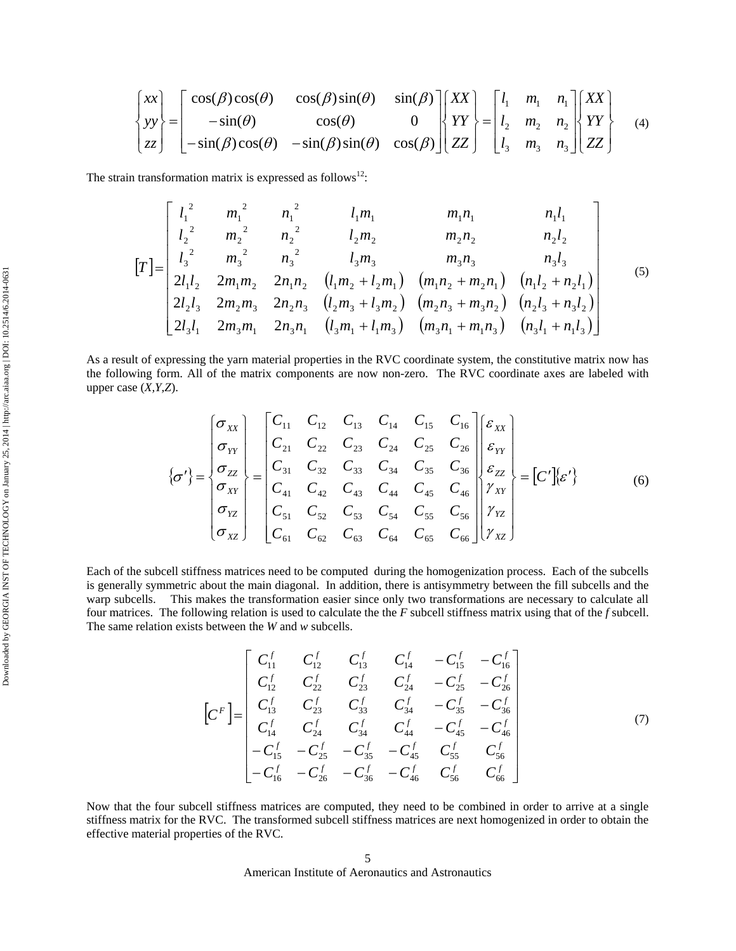$$
\begin{Bmatrix} xx \\ yy \\ zz \end{Bmatrix} = \begin{bmatrix} cos(\beta)cos(\theta) & cos(\beta)sin(\theta) & sin(\beta) \\ -sin(\theta) & cos(\theta) & 0 \\ -sin(\beta)cos(\theta) & -sin(\beta)sin(\theta) & cos(\beta) \end{bmatrix} \begin{bmatrix} XX \\ YY \\ ZZ \end{bmatrix} = \begin{bmatrix} l_1 & m_1 & n_1 \\ l_2 & m_2 & n_2 \\ l_3 & m_3 & n_3 \end{bmatrix} \begin{bmatrix} XX \\ YY \\ ZZ \end{bmatrix}
$$
 (4)

The strain transformation matrix is expressed as follows<sup>12</sup>:

$$
\begin{bmatrix}\n l_1^2 & m_1^2 & n_1^2 & l_1m_1 & m_1n_1 & n_1l_1 \\
 l_2^2 & m_2^2 & n_2^2 & l_2m_2 & m_2n_2 & n_2l_2 \\
 l_3^2 & m_3^2 & n_3^2 & l_3m_3 & m_3n_3 & n_3l_3 \\
 2l_1l_2 & 2m_1m_2 & 2n_1n_2 & (l_1m_2 + l_2m_1) & (m_1n_2 + m_2n_1) & (n_1l_2 + n_2l_1) \\
 2l_2l_3 & 2m_2m_3 & 2n_2n_3 & (l_2m_3 + l_3m_2) & (m_2n_3 + m_3n_2) & (n_2l_3 + n_3l_2) \\
 2l_3l_1 & 2m_3m_1 & 2n_3n_1 & (l_3m_1 + l_1m_3) & (m_3n_1 + m_1n_3) & (n_3l_1 + n_1l_3)\n\end{bmatrix}
$$
\n(5)

As a result of expressing the yarn material properties in the RVC coordinate system, the constitutive matrix now has the following form. All of the matrix components are now non-zero. The RVC coordinate axes are labeled with upper case (*X,Y,Z*).

$$
\{\sigma'\} = \begin{bmatrix} \sigma_{xx} \\ \sigma_{yy} \\ \sigma_{zz} \\ \sigma_{yz} \\ \sigma_{yz} \\ \sigma_{yz} \\ \sigma_{xz} \end{bmatrix} = \begin{bmatrix} C_{11} & C_{12} & C_{13} & C_{14} & C_{15} & C_{16} \\ C_{21} & C_{22} & C_{23} & C_{24} & C_{25} & C_{26} \\ C_{31} & C_{32} & C_{33} & C_{34} & C_{35} & C_{36} \\ C_{41} & C_{42} & C_{43} & C_{44} & C_{45} & C_{46} \\ C_{51} & C_{52} & C_{53} & C_{54} & C_{55} & C_{56} \\ C_{61} & C_{62} & C_{63} & C_{64} & C_{65} & C_{66} \end{bmatrix} \begin{bmatrix} \varepsilon_{xx} \\ \varepsilon_{yx} \\ \varepsilon_{zz} \\ \gamma_{yz} \\ \gamma_{yz} \\ \gamma_{xz} \end{bmatrix} = [C']\{\varepsilon'\} \qquad (6)
$$

Each of the subcell stiffness matrices need to be computed during the homogenization process. Each of the subcells is generally symmetric about the main diagonal. In addition, there is antisymmetry between the fill subcells and the warp subcells. This makes the transformation easier since only two transformations are necessary to calculate all four matrices. The following relation is used to calculate the the *F* subcell stiffness matrix using that of the *f* subcell. The same relation exists between the *W* and *w* subcells.

$$
\begin{bmatrix}\nC_{11}^f & C_{12}^f & C_{13}^f & C_{14}^f & -C_{15}^f & -C_{16}^f \\
C_{12}^f & C_{22}^f & C_{23}^f & C_{24}^f & -C_{25}^f & -C_{26}^f \\
C_{13}^f & C_{23}^f & C_{33}^f & C_{34}^f & -C_{35}^f & -C_{36}^f \\
C_{14}^f & C_{24}^f & C_{34}^f & C_{44}^f & -C_{45}^f & -C_{46}^f \\
-C_{15}^f & -C_{25}^f & -C_{35}^f & -C_{45}^f & C_{55}^f & C_{56}^f \\
-C_{16}^f & -C_{26}^f & -C_{36}^f & -C_{46}^f & C_{56}^f & C_{66}^f\n\end{bmatrix}
$$
\n(7)

Now that the four subcell stiffness matrices are computed, they need to be combined in order to arrive at a single stiffness matrix for the RVC. The transformed subcell stiffness matrices are next homogenized in order to obtain the effective material properties of the RVC.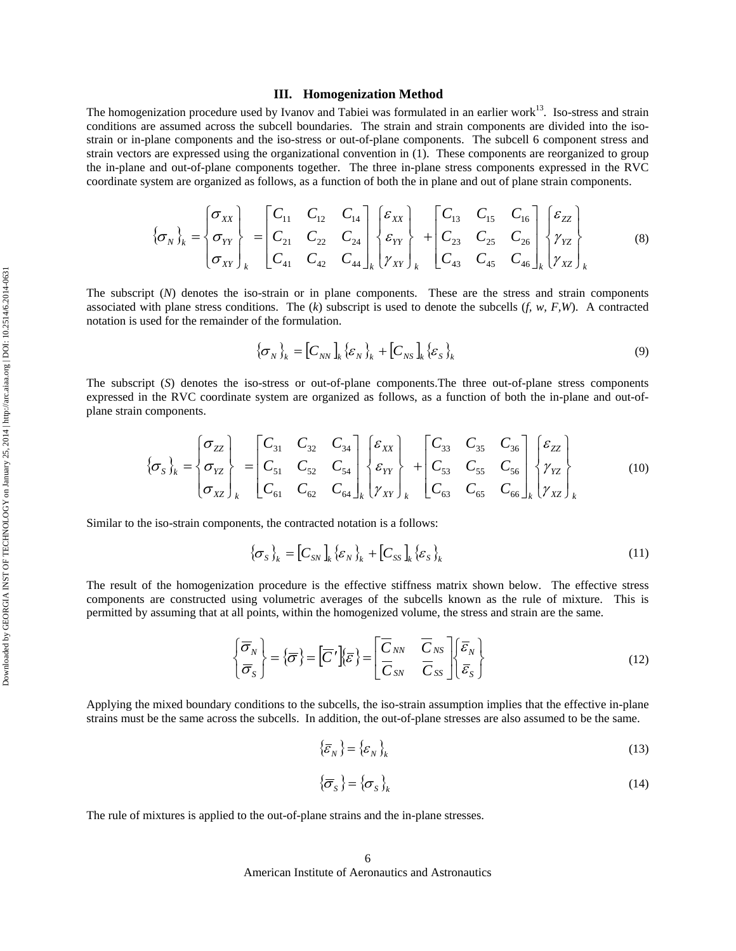#### **III. Homogenization Method**

The homogenization procedure used by Ivanov and Tabiei was formulated in an earlier work<sup>13</sup>. Iso-stress and strain conditions are assumed across the subcell boundaries. The strain and strain components are divided into the isostrain or in-plane components and the iso-stress or out-of-plane components. The subcell 6 component stress and strain vectors are expressed using the organizational convention in (1). These components are reorganized to group the in-plane and out-of-plane components together. The three in-plane stress components expressed in the RVC coordinate system are organized as follows, as a function of both the in plane and out of plane strain components.

$$
\left\{\sigma_{N}\right\}_{k} = \begin{bmatrix} \sigma_{XX} \\ \sigma_{YY} \\ \sigma_{XY} \end{bmatrix}_{k} = \begin{bmatrix} C_{11} & C_{12} & C_{14} \\ C_{21} & C_{22} & C_{24} \\ C_{41} & C_{42} & C_{44} \end{bmatrix}_{k} \begin{bmatrix} \varepsilon_{XX} \\ \varepsilon_{YY} \\ \gamma_{XY} \end{bmatrix}_{k} + \begin{bmatrix} C_{13} & C_{15} & C_{16} \\ C_{23} & C_{25} & C_{26} \\ C_{43} & C_{45} & C_{46} \end{bmatrix}_{k} \begin{bmatrix} \varepsilon_{ZZ} \\ \gamma_{YZ} \\ \gamma_{XZ} \end{bmatrix}_{k}
$$
(8)

The subscript (*N*) denotes the iso-strain or in plane components. These are the stress and strain components associated with plane stress conditions. The  $(k)$  subscript is used to denote the subcells  $(f, w, F, W)$ . A contracted notation is used for the remainder of the formulation.

$$
\left\{\sigma_{N}\right\}_{k} = \left[C_{NN}\right]_{k} \left\{\varepsilon_{N}\right\}_{k} + \left[C_{NS}\right]_{k} \left\{\varepsilon_{S}\right\}_{k} \tag{9}
$$

The subscript (*S*) denotes the iso-stress or out-of-plane components.The three out-of-plane stress components expressed in the RVC coordinate system are organized as follows, as a function of both the in-plane and out-ofplane strain components.

$$
\left\{\sigma_{S}\right\}_{k} = \begin{bmatrix} \sigma_{ZZ} \\ \sigma_{YZ} \\ \sigma_{XZ} \end{bmatrix}_{k} = \begin{bmatrix} C_{31} & C_{32} & C_{34} \\ C_{51} & C_{52} & C_{54} \\ C_{61} & C_{62} & C_{64} \end{bmatrix}_{k} \begin{bmatrix} \varepsilon_{XX} \\ \varepsilon_{YY} \\ \gamma_{XY} \end{bmatrix}_{k} + \begin{bmatrix} C_{33} & C_{35} & C_{36} \\ C_{53} & C_{55} & C_{56} \\ C_{63} & C_{65} & C_{66} \end{bmatrix}_{k} \begin{bmatrix} \varepsilon_{ZZ} \\ \gamma_{YZ} \\ \gamma_{XZ} \end{bmatrix}_{k}
$$
(10)

Similar to the iso-strain components, the contracted notation is a follows:

$$
\left\{\sigma_{S}\right\}_{k} = \left[C_{SN}\right]_{k} \left\{\varepsilon_{N}\right\}_{k} + \left[C_{SS}\right]_{k} \left\{\varepsilon_{S}\right\}_{k} \tag{11}
$$

The result of the homogenization procedure is the effective stiffness matrix shown below. The effective stress components are constructed using volumetric averages of the subcells known as the rule of mixture. This is permitted by assuming that at all points, within the homogenized volume, the stress and strain are the same.

$$
\begin{Bmatrix} \overline{\sigma}_N \\ \overline{\sigma}_s \end{Bmatrix} = \{\overline{\sigma}\} = \begin{bmatrix} \overline{C}' \end{bmatrix} \{\overline{\varepsilon}\} = \begin{bmatrix} \overline{C}_{NN} & \overline{C}_{NS} \\ \overline{C}_{SN} & \overline{C}_{SS} \end{bmatrix} \begin{Bmatrix} \overline{\varepsilon}_N \\ \overline{\varepsilon}_s \end{Bmatrix}
$$
(12)

Applying the mixed boundary conditions to the subcells, the iso-strain assumption implies that the effective in-plane strains must be the same across the subcells. In addition, the out-of-plane stresses are also assumed to be the same.

$$
\left\{\overline{\mathcal{E}}_{N}\right\} = \left\{\mathcal{E}_{N}\right\}_{k} \tag{13}
$$

$$
\left\{\overline{\sigma}_{s}\right\} = \left\{\sigma_{s}\right\}_{k} \tag{14}
$$

The rule of mixtures is applied to the out-of-plane strains and the in-plane stresses.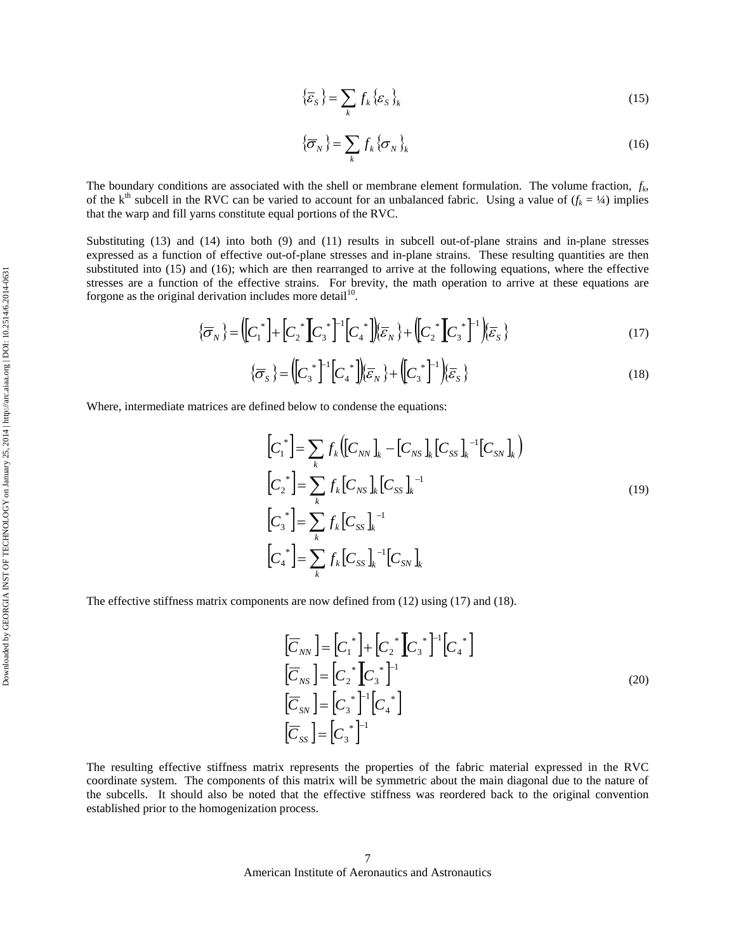$$
\left\{\overline{\mathcal{E}}_{S}\right\} = \sum_{k} f_{k} \left\{\mathcal{E}_{S}\right\}_{k} \tag{15}
$$

$$
\left\{\overline{\sigma}_N\right\} = \sum_k f_k \left\{\sigma_N\right\}_k \tag{16}
$$

The boundary conditions are associated with the shell or membrane element formulation. The volume fraction, *fk*, of the k<sup>th</sup> subcell in the RVC can be varied to account for an unbalanced fabric. Using a value of  $(f_k = \frac{1}{4})$  implies that the warp and fill yarns constitute equal portions of the RVC.

Substituting (13) and (14) into both (9) and (11) results in subcell out-of-plane strains and in-plane stresses expressed as a function of effective out-of-plane stresses and in-plane strains. These resulting quantities are then substituted into (15) and (16); which are then rearranged to arrive at the following equations, where the effective stresses are a function of the effective strains. For brevity, the math operation to arrive at these equations are forgone as the original derivation includes more detail<sup>10</sup>.

$$
\{\overline{\sigma}_N\} = \left(\begin{bmatrix} C_1^* \end{bmatrix} + \begin{bmatrix} C_2^* \end{bmatrix} C_3^* \right)^{-1} \left[\begin{bmatrix} C_4^* \end{bmatrix} \right] \overline{\varepsilon}_N \} + \left(\begin{bmatrix} C_2^* \end{bmatrix} C_3^* \right)^{-1} \left\{ \overline{\varepsilon}_S \right\} \tag{17}
$$

$$
\{\overline{\sigma}_S\} = \left(\begin{bmatrix} C_3^* \end{bmatrix}^{-1} \begin{bmatrix} C_4^* \end{bmatrix}\right) \left(\overline{\varepsilon}_N\right) + \left(\begin{bmatrix} C_3^* \end{bmatrix}^{-1}\right) \left(\overline{\varepsilon}_S\right)
$$
\n(18)

Where, intermediate matrices are defined below to condense the equations:

$$
\begin{aligned}\n\left[C_{1}^{*}\right] &= \sum_{k} f_{k} \left(\left[C_{NN}\right]_{k} - \left[C_{NS}\right]_{k}\left[C_{SS}\right]_{k}^{-1}\left[C_{SN}\right]_{k}\right) \\
\left[C_{2}^{*}\right] &= \sum_{k} f_{k} \left[C_{NS}\right]_{k}\left[C_{SS}\right]_{k}^{-1} \\
\left[C_{3}^{*}\right] &= \sum_{k} f_{k} \left[C_{SS}\right]_{k}^{-1} \\
\left[C_{4}^{*}\right] &= \sum_{k} f_{k} \left[C_{SS}\right]_{k}^{-1}\left[C_{SN}\right]_{k}\n\end{aligned} \tag{19}
$$

The effective stiffness matrix components are now defined from (12) using (17) and (18).

$$
\begin{aligned}\n\left[\overline{C}_{NN}\right] &= \left[C_1^*\right] + \left[C_2^*\right]C_3^*\right]^{-1}\left[C_4^*\right] \\
\left[\overline{C}_{NS}\right] &= \left[C_2^*\right]C_3^*\right]^{-1} \\
\left[\overline{C}_{SN}\right] &= \left[C_3^*\right]^{-1}\left[C_4^*\right] \\
\left[\overline{C}_{SS}\right] &= \left[C_3^*\right]^{-1}\n\end{aligned} \tag{20}
$$

The resulting effective stiffness matrix represents the properties of the fabric material expressed in the RVC coordinate system. The components of this matrix will be symmetric about the main diagonal due to the nature of the subcells. It should also be noted that the effective stiffness was reordered back to the original convention established prior to the homogenization process.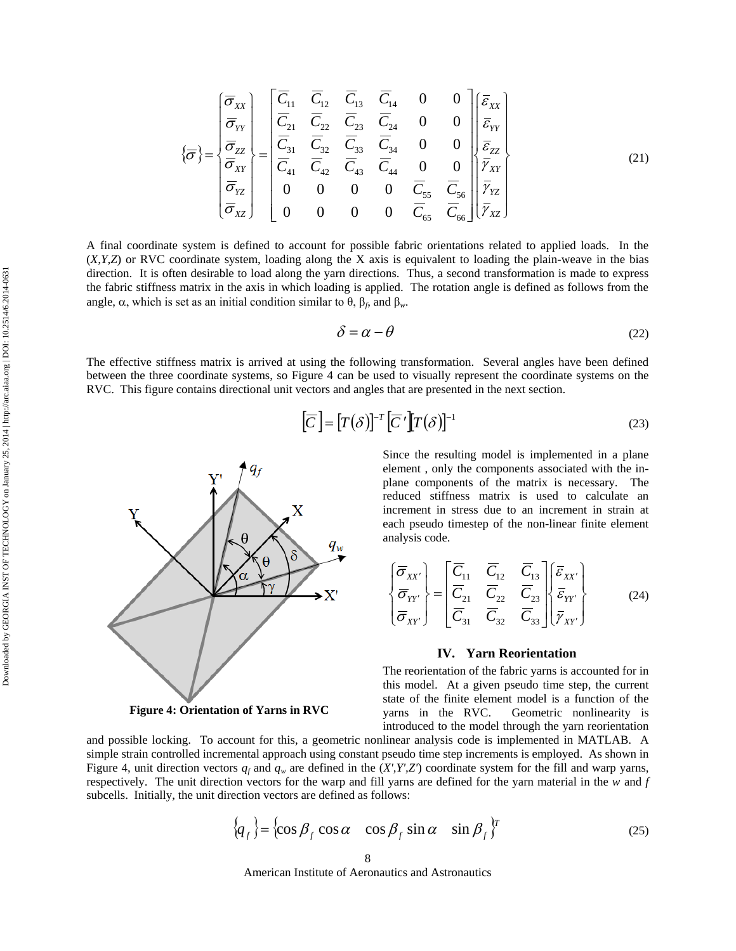$$
\left(\overline{\sigma}\right) = \begin{bmatrix} \overline{\sigma}_{xx} \\ \overline{\sigma}_{yy} \\ \overline{\sigma}_{zz} \\ \overline{\sigma}_{yz} \\ \overline{\sigma}_{zz} \\ \overline{\sigma}_{yz} \\ \overline{\sigma}_{xz} \end{bmatrix} = \begin{bmatrix} \overline{C}_{11} & \overline{C}_{12} & \overline{C}_{13} & \overline{C}_{14} & 0 & 0 \\ \overline{C}_{21} & \overline{C}_{22} & \overline{C}_{23} & \overline{C}_{24} & 0 & 0 \\ \overline{C}_{31} & \overline{C}_{32} & \overline{C}_{33} & \overline{C}_{34} & 0 & 0 \\ \overline{C}_{41} & \overline{C}_{42} & \overline{C}_{43} & \overline{C}_{44} & 0 & 0 \\ 0 & 0 & 0 & \overline{C}_{55} & \overline{C}_{56} \\ 0 & 0 & 0 & \overline{C}_{65} & \overline{C}_{66} \end{bmatrix} \begin{bmatrix} \overline{\varepsilon}_{xx} \\ \overline{\varepsilon}_{zx} \\ \overline{\varepsilon}_{zz} \\ \overline{\varepsilon}_{yz} \\ \overline{\varepsilon}_{yz} \\ \overline{\varepsilon}_{xz} \end{bmatrix} \qquad (21)
$$

A final coordinate system is defined to account for possible fabric orientations related to applied loads. In the (*X,Y,Z*) or RVC coordinate system, loading along the X axis is equivalent to loading the plain-weave in the bias direction. It is often desirable to load along the yarn directions. Thus, a second transformation is made to express the fabric stiffness matrix in the axis in which loading is applied. The rotation angle is defined as follows from the angle,  $\alpha$ , which is set as an initial condition similar to  $\theta$ ,  $\beta_f$ , and  $\beta_w$ .

$$
\delta = \alpha - \theta \tag{22}
$$

The effective stiffness matrix is arrived at using the following transformation. Several angles have been defined between the three coordinate systems, so Figure 4 can be used to visually represent the coordinate systems on the RVC. This figure contains directional unit vectors and angles that are presented in the next section.

$$
\left[\overline{C}\right] = \left[T(\delta)\right]^{-T} \left[\overline{C}'\right] T(\delta)\right]^{-1}
$$
\n(23)



{ }

**Figure 4: Orientation of Yarns in RVC**

Since the resulting model is implemented in a plane element , only the components associated with the inplane components of the matrix is necessary. The reduced stiffness matrix is used to calculate an increment in stress due to an increment in strain at each pseudo timestep of the non-linear finite element analysis code.

$$
\begin{Bmatrix}\n\overline{\sigma}_{XX'} \\
\overline{\sigma}_{YY'} \\
\overline{\sigma}_{XY'}\n\end{Bmatrix} = \begin{bmatrix}\n\overline{C}_{11} & \overline{C}_{12} & \overline{C}_{13} \\
\overline{C}_{21} & \overline{C}_{22} & \overline{C}_{23} \\
\overline{C}_{31} & \overline{C}_{32} & \overline{C}_{33}\n\end{bmatrix} \begin{Bmatrix}\n\overline{\varepsilon}_{XX'} \\
\overline{\varepsilon}_{YY'} \\
\overline{\varepsilon}_{XY'}\n\end{Bmatrix}
$$
\n(24)

## **IV. Yarn Reorientation**

The reorientation of the fabric yarns is accounted for in this model. At a given pseudo time step, the current state of the finite element model is a function of the yarns in the RVC. Geometric nonlinearity is introduced to the model through the yarn reorientation

and possible locking. To account for this, a geometric nonlinear analysis code is implemented in MATLAB. A simple strain controlled incremental approach using constant pseudo time step increments is employed. As shown in Figure 4, unit direction vectors  $q_f$  and  $q_w$  are defined in the  $(X, Y, Z')$  coordinate system for the fill and warp yarns, respectively. The unit direction vectors for the warp and fill yarns are defined for the yarn material in the *w* and *f* subcells. Initially, the unit direction vectors are defined as follows:

$$
\{q_f\} = \{\cos \beta_f \cos \alpha \cos \beta_f \sin \alpha \sin \beta_f\}^T
$$
 (25)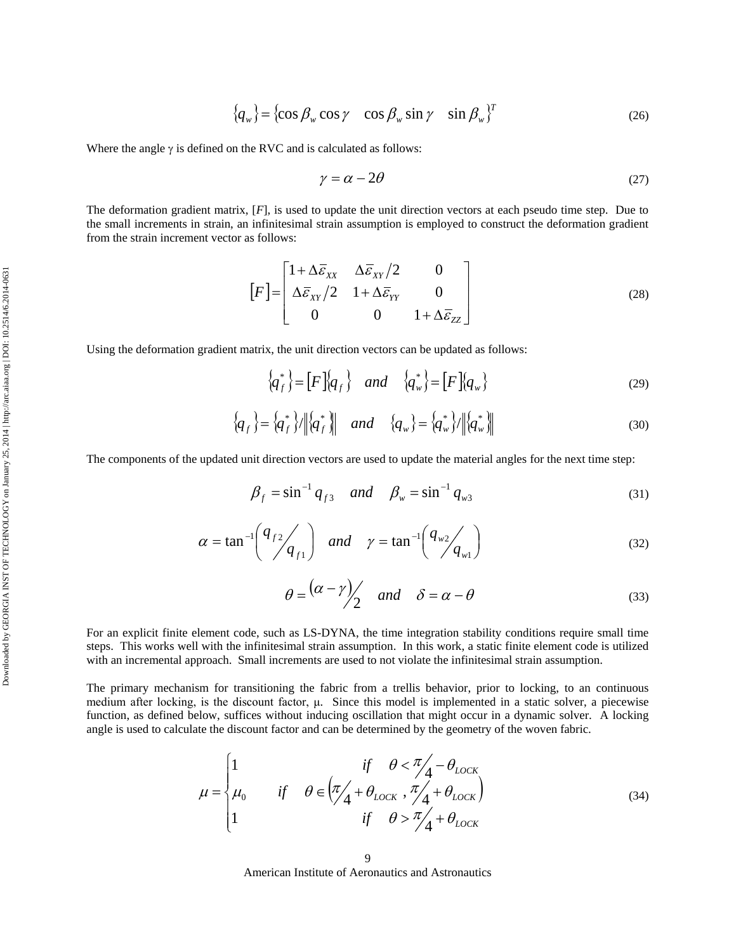$$
\{q_w\} = \{\cos \beta_w \cos \gamma \quad \cos \beta_w \sin \gamma \quad \sin \beta_w\}^T \tag{26}
$$

Where the angle  $\gamma$  is defined on the RVC and is calculated as follows:

$$
\gamma = \alpha - 2\theta \tag{27}
$$

The deformation gradient matrix, [*F*], is used to update the unit direction vectors at each pseudo time step. Due to the small increments in strain, an infinitesimal strain assumption is employed to construct the deformation gradient from the strain increment vector as follows:

$$
[F] = \begin{bmatrix} 1 + \Delta \bar{\varepsilon}_{XX} & \Delta \bar{\varepsilon}_{XY}/2 & 0 \\ \Delta \bar{\varepsilon}_{XY}/2 & 1 + \Delta \bar{\varepsilon}_{YY} & 0 \\ 0 & 0 & 1 + \Delta \bar{\varepsilon}_{ZZ} \end{bmatrix}
$$
(28)

Using the deformation gradient matrix, the unit direction vectors can be updated as follows:

$$
\left\{q_f^*\right\} = \left[F\right]\left\{q_f\right\} \quad and \quad \left\{q_w^*\right\} = \left[F\right]\left\{q_w\right\} \tag{29}
$$

$$
\{q_f\} = \{q_f^*\} / \|q_f^*\| \quad \text{and} \quad \{q_w\} = \{q_w^*\} / \|q_w^*\| \tag{30}
$$

The components of the updated unit direction vectors are used to update the material angles for the next time step:

$$
\beta_f = \sin^{-1} q_{f3} \quad and \quad \beta_w = \sin^{-1} q_{w3} \tag{31}
$$

$$
\alpha = \tan^{-1}\left(\frac{q_{f2}}{q_{f1}}\right) \quad \text{and} \quad \gamma = \tan^{-1}\left(\frac{q_{w2}}{q_{w1}}\right) \tag{32}
$$

$$
\theta = \frac{(\alpha - \gamma)}{2} \quad \text{and} \quad \delta = \alpha - \theta \tag{33}
$$

For an explicit finite element code, such as LS-DYNA, the time integration stability conditions require small time steps. This works well with the infinitesimal strain assumption. In this work, a static finite element code is utilized with an incremental approach. Small increments are used to not violate the infinitesimal strain assumption.

The primary mechanism for transitioning the fabric from a trellis behavior, prior to locking, to an continuous medium after locking, is the discount factor, μ. Since this model is implemented in a static solver, a piecewise function, as defined below, suffices without inducing oscillation that might occur in a dynamic solver. A locking angle is used to calculate the discount factor and can be determined by the geometry of the woven fabric.

$$
\mu = \begin{cases}\n1 & \text{if } \theta < \frac{\pi}{4} - \theta_{LOCK} \\
\mu_0 & \text{if } \theta \in \left(\frac{\pi}{4} + \theta_{LOCK}, \frac{\pi}{4} + \theta_{LOCK}\right) \\
1 & \text{if } \theta > \frac{\pi}{4} + \theta_{LOCK}\n\end{cases}
$$
\n(34)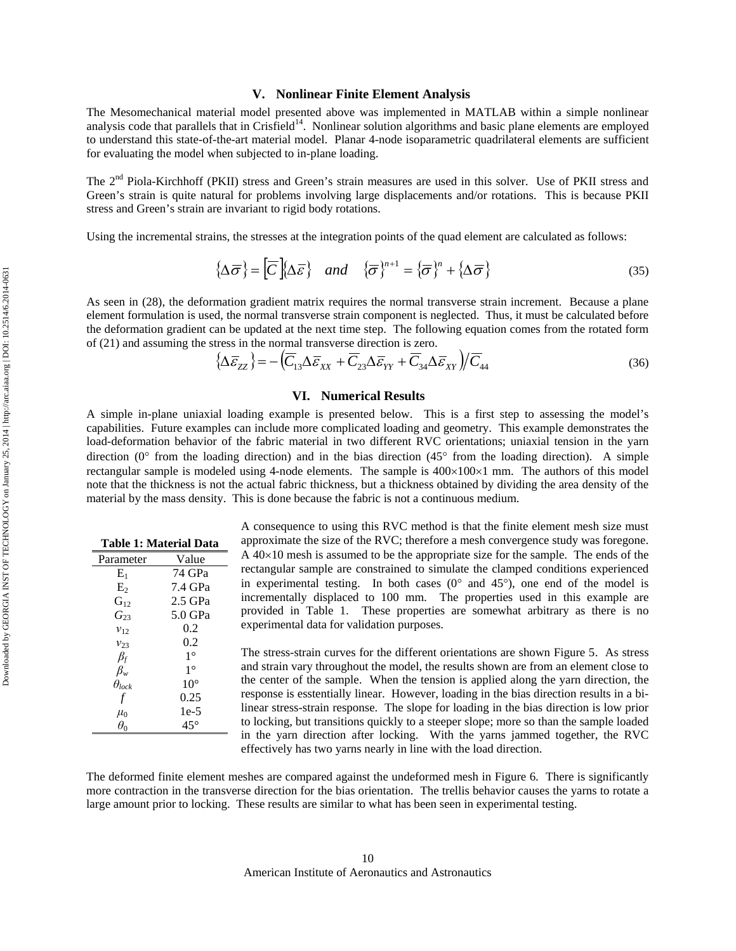#### **V. Nonlinear Finite Element Analysis**

The Mesomechanical material model presented above was implemented in MATLAB within a simple nonlinear analysis code that parallels that in Crisfield<sup>14</sup>. Nonlinear solution algorithms and basic plane elements are employed to understand this state-of-the-art material model. Planar 4-node isoparametric quadrilateral elements are sufficient for evaluating the model when subjected to in-plane loading.

The 2<sup>nd</sup> Piola-Kirchhoff (PKII) stress and Green's strain measures are used in this solver. Use of PKII stress and Green's strain is quite natural for problems involving large displacements and/or rotations. This is because PKII stress and Green's strain are invariant to rigid body rotations.

Using the incremental strains, the stresses at the integration points of the quad element are calculated as follows:

$$
\{\Delta\overline{\sigma}\} = \left[\overline{C}\right]\{\Delta\overline{\varepsilon}\} \quad and \quad \{\overline{\sigma}\}^{n+1} = \{\overline{\sigma}\}^n + \{\Delta\overline{\sigma}\}\tag{35}
$$

As seen in (28), the deformation gradient matrix requires the normal transverse strain increment. Because a plane element formulation is used, the normal transverse strain component is neglected. Thus, it must be calculated before the deformation gradient can be updated at the next time step. The following equation comes from the rotated form of (21) and assuming the stress in the normal transverse direction is zero.

$$
\left\{\Delta\overline{\varepsilon}_{ZZ}\right\} = -\left(\overline{C}_{13}\Delta\overline{\varepsilon}_{XX} + \overline{C}_{23}\Delta\overline{\varepsilon}_{YY} + \overline{C}_{34}\Delta\overline{\varepsilon}_{XY}\right)/\overline{C}_{44}
$$
\n(36)

## **VI. Numerical Results**

A simple in-plane uniaxial loading example is presented below. This is a first step to assessing the model's capabilities. Future examples can include more complicated loading and geometry. This example demonstrates the load-deformation behavior of the fabric material in two different RVC orientations; uniaxial tension in the yarn direction ( $0^\circ$  from the loading direction) and in the bias direction ( $45^\circ$  from the loading direction). A simple rectangular sample is modeled using 4-node elements. The sample is  $400\times100\times1$  mm. The authors of this model note that the thickness is not the actual fabric thickness, but a thickness obtained by dividing the area density of the material by the mass density. This is done because the fabric is not a continuous medium.

| Table 1: Material Data |              |  |  |  |
|------------------------|--------------|--|--|--|
| Parameter              | Value        |  |  |  |
| $E_1$                  | 74 GPa       |  |  |  |
| $E_{2}$                | 7.4 GPa      |  |  |  |
| $G_{12}$               | $2.5$ GPa    |  |  |  |
| $G_{23}$               | 5.0 GPa      |  |  |  |
| $v_{12}$               | 0.2          |  |  |  |
| $v_{23}$               | 0.2          |  |  |  |
| $\beta_f$              | $1^{\circ}$  |  |  |  |
| $\beta_{w}$            | $1^{\circ}$  |  |  |  |
| $\theta_{lock}$        | $10^{\circ}$ |  |  |  |
| t                      | 0.25         |  |  |  |
| $\mu_0$                | 1e-5         |  |  |  |
| $\theta_0$             | 45°          |  |  |  |
|                        |              |  |  |  |

A consequence to using this RVC method is that the finite element mesh size must approximate the size of the RVC; therefore a mesh convergence study was foregone. A  $40\times10$  mesh is assumed to be the appropriate size for the sample. The ends of the rectangular sample are constrained to simulate the clamped conditions experienced in experimental testing. In both cases  $(0^{\circ}$  and  $45^{\circ})$ , one end of the model is incrementally displaced to 100 mm. The properties used in this example are provided in Table 1. These properties are somewhat arbitrary as there is no experimental data for validation purposes.

The stress-strain curves for the different orientations are shown Figure 5. As stress and strain vary throughout the model, the results shown are from an element close to the center of the sample. When the tension is applied along the yarn direction, the response is esstentially linear. However, loading in the bias direction results in a bilinear stress-strain response. The slope for loading in the bias direction is low prior to locking, but transitions quickly to a steeper slope; more so than the sample loaded in the yarn direction after locking. With the yarns jammed together, the RVC effectively has two yarns nearly in line with the load direction.

The deformed finite element meshes are compared against the undeformed mesh in Figure 6. There is significantly more contraction in the transverse direction for the bias orientation. The trellis behavior causes the yarns to rotate a large amount prior to locking. These results are similar to what has been seen in experimental testing.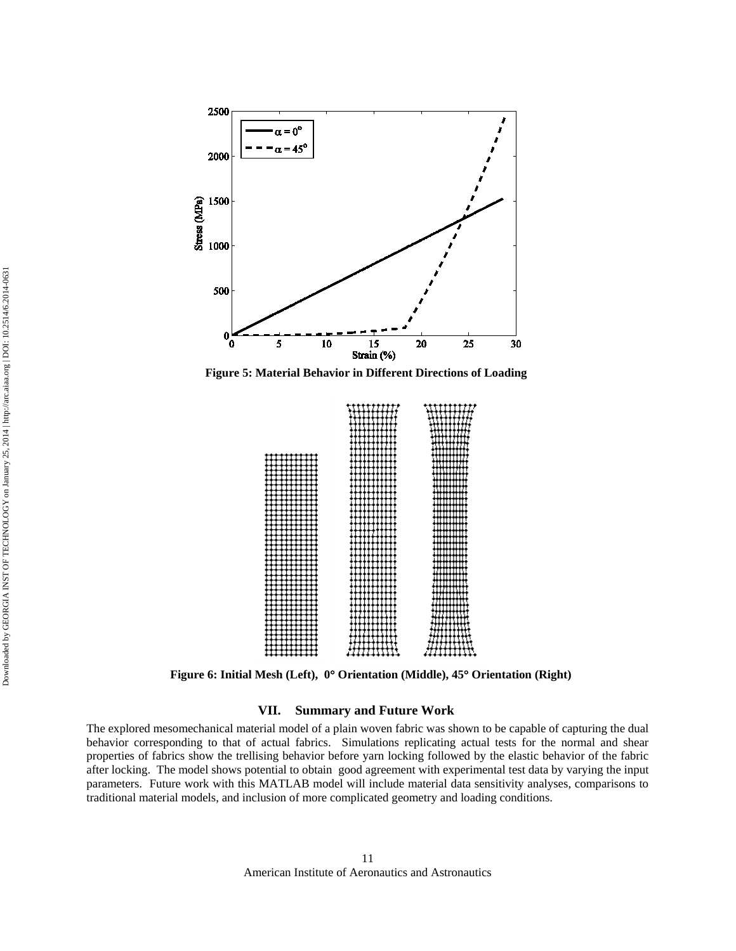

**Figure 5: Material Behavior in Different Directions of Loading**



**Figure 6: Initial Mesh (Left), 0**° **Orientation (Middle), 45**° **Orientation (Right)**

## **VII. Summary and Future Work**

The explored mesomechanical material model of a plain woven fabric was shown to be capable of capturing the dual behavior corresponding to that of actual fabrics. Simulations replicating actual tests for the normal and shear properties of fabrics show the trellising behavior before yarn locking followed by the elastic behavior of the fabric after locking. The model shows potential to obtain good agreement with experimental test data by varying the input parameters. Future work with this MATLAB model will include material data sensitivity analyses, comparisons to traditional material models, and inclusion of more complicated geometry and loading conditions.